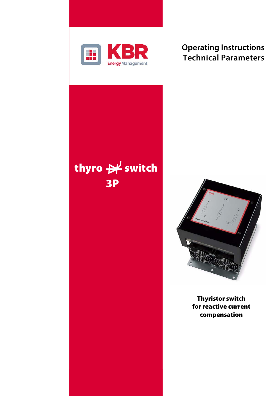

## **Operating Instructions Technical Parameters**





**Thyristor switch for reactive current compensation**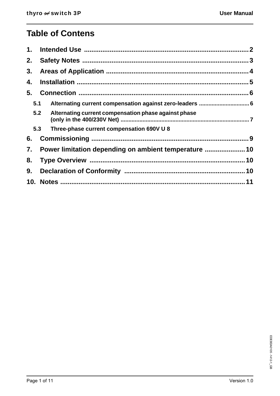# **Table of Contens**

| 1.  |                                                             |  |  |
|-----|-------------------------------------------------------------|--|--|
| 2.  |                                                             |  |  |
| 3.  |                                                             |  |  |
| 4.  |                                                             |  |  |
| 5.  |                                                             |  |  |
| 5.1 | Alternating current compensation against zero-leaders  6    |  |  |
|     | Alternating current compensation phase against phase<br>5.2 |  |  |
| 5.3 | Three-phase current compensation 690V U 8                   |  |  |
| 6.  |                                                             |  |  |
| 7.  | Power limitation depending on ambient temperature  10       |  |  |
| 8.  |                                                             |  |  |
| 9.  |                                                             |  |  |
|     |                                                             |  |  |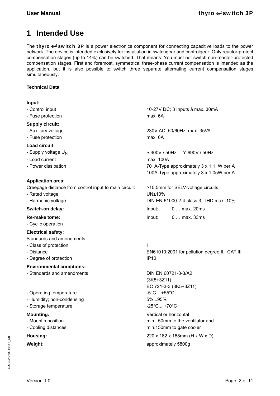### **1 Intended Use**

The **thyro**  $\mathcal{H}$  switch 3P is a power electronics component for connecting capacitive loads to the power network. The device is intended exclusively for installation in switchgear and controlgear. Only reactor-protect compensation stages (up to 14%) can be switched. That means: You must not switch non-reactor-protected compensation stages. First and foremost, symmetrical three-phase current compensation is intended as the application, but it is also possible to switch three separate alternating current compensation stages simultaneously.

### **Technical Data**

### **Input:**

- Control input
- Fuse protection

#### **Supply circuit:**

- Auxiliary voltage
- Fuse protection

#### **Load circuit:**

- Supply voltage  $U_N$
- Load current
- Power dissipation

### **Application area:**

Creepage distance from control input to main circuit:

- Rated voltage
- Harmonic voltage

#### **Re-make tome:**

- Cyclic operation

#### **Electrical safety:**

Standards and amendments

- Class of protection
- Distance
- Degree of protection

#### **Environmental conditions:**

- Standards and amendments
- Operating temperature
- Humidity; non-condensing
- Storage temperature

#### **Mounting:**

- Mountin position
- Cooling distances

10-27V DC; 3 Inputs à max. 30mA max. 6A

230V AC 50/60Hz max. 35VA max. 6A

 $\triangle$  400V / 50Hz; Y 690V / 50Hz max. 100A 70 A-Type approximately 3 x 1,1 W per A 100A-Type approximately 3 x 1,05W per A

>10,5mm for SELV-voltage circuits UN±10% DIN EN 61000-2-4 class 3; THD max. 10% **Switch-on delay:** Input: 0 … max. 20ms Input: 0 … max. 33ms

> I EN61010:2001 for pollution degree II; CAT III IP10

DIN EN 60721-3-3/A2 (3K5+3Z11) EC 721-3-3 (3K5+3Z11)  $-5^{\circ}$ C...  $+55^{\circ}$ C. 5%...95% -25°C... +70°C

Vertical or horizontal min. 50mm to the ventilator and min.150mm to gate cooler **Housing:** 220 x 182 x 188mm (H x W x D) **Weight:** approximately 5800g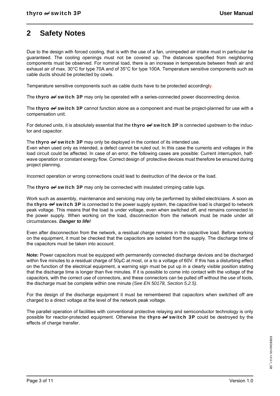### **2 Safety Notes**

Due to the design with forced cooling, that is with the use of a fan, unimpeded air intake must in particular be guaranteed. The cooling openings must not be covered up. The distances specified from neighboring components must be observed. For nominal load, there is an increase in temperature between fresh air and exhaust air of max. 30°C for type 70A and of 35°C for type 100A. Temperature sensitive components such as cable ducts should be protected by cowls.

Temperature sensitive components such as cable ducts have to be protected accordingly.

The **thyro**  $\mathcal{H}$  **switch 3P** may only be operated with a series-connected power disconnecting device.

The thyro  $\mathcal{H}$  switch 3P cannot function alone as a component and must be project-planned for use with a compensation unit.

For detuned units, it is absolutely essential that the **thyro**  $\forall f$  **switch 3P** is connected upstream to the inductor and capacitor.

The thyro  $\mathcal{H}$  switch 3P may only be deployed in the context of its intended use.

Even when used only as intended, a defect cannot be ruled out. In this case the currents and voltages in the load circuit could be affected. In case of an error, the following cases are possible: Current interruption, halfwave operation or constant energy flow. Correct design of protective devices must therefore be ensured during project planning.

Incorrect operation or wrong connections could lead to destruction of the device or the load.

The thyro  $\forall$  switch 3P may only be connected with insulated crimping cable lugs.

Work such as assembly, maintenance and servicing may only be performed by skilled electricians. A soon as the **thyro**  $\forall$  **switch 3P** is connected to the power supply system, the capacitive load is charged to network peak voltage. This means that the load is under voltage, even when switched off, and remains connected to the power supply. When working on the load, disconnection from the network must be made under all circumstances. *Danger to life!*

Even after disconnection from the network, a residual charge remains in the capacitive load. Before working on the equipment, it must be checked that the capacitors are isolated from the supply. The discharge time of the capacitors must be taken into account.

**Note:** Power capacitors must be equipped with permanently connected discharge devices and be discharged within five minutes to a residual charge of 50µC at most, or a to a voltage of 60V. If this has a disturbing effect on the function of the electrical equipment, a warning sign must be put up in a clearly visible position stating that the discharge time is longer than five minutes. If it is possible to come into contact with the voltage of the capacitors, with the correct use of connectors, and these connectors can be pulled off without the use of tools, the discharge must be complete within one minute *(See EN 50178, Section 5.2.5)*.

For the design of the discharge equipment it must be remembered that capacitors when switched off are charged to a direct voltage at the level of the network peak voltage.

The parallel operation of facilities with conventional protective relaying and semiconductor technology is only possible for reactor-protected equipment. Otherwise the thyro  $\rightarrow$  switch 3P could be destroyed by the effects of charge transfer.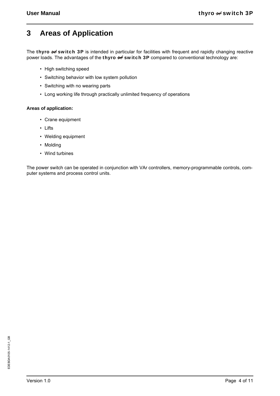### **3 Areas of Application**

The thyro  $\mathcal{H}$  switch 3P is intended in particular for facilities with frequent and rapidly changing reactive power loads. The advantages of the thyro  $\forall$  switch 3P compared to conventional technology are:

- High switching speed
- Switching behavior with low system pollution
- Switching with no wearing parts
- Long working life through practically unlimited frequency of operations

### **Areas of application:**

- Crane equipment
- Lifts
- Welding equipment
- Molding
- Wind turbines

The power switch can be operated in conjunction with VAr controllers, memory-programmable controls, computer systems and process control units.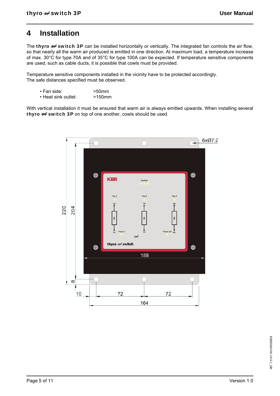### **4 Installation**

The thyro  $\mathcal{H}$  switch 3P can be installed horizontally or vertically. The integrated fan controls the air flow, so that nearly all the warm air produced is emitted in one direction. At maximum load, a temperature increase of max. 30°C for type 70A and of 35°C for type 100A can be expected. If temperature sensitive components are used, such as cable ducts, it is possible that cowls must be provided.

Temperature sensitive components installed in the vicinity have to be protected accordingly. The safe distances specified must be observed.

- Fan side: >50mm
- Heat sink outlet: >150mm

With vertical installation it must be ensured that warm air is always emitted upwards. When installing several thyro  $\mathcal H$  switch 3P on top of one another, cowls should be used.

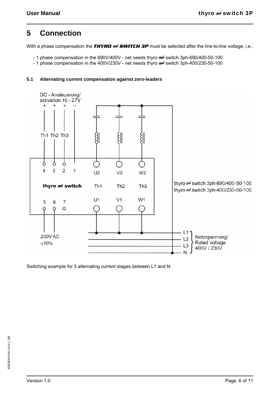### **5 Connection**

With a phase compensation the **THYRD**  $\nrightarrow$  **SWITCH 3P** must be selected after the line-to-line voltage, i.e.:

- 1 phase compensation in the 690V/400V net needs thyro  $\rightarrow$  switch 3ph-690/400-50-100
- 1 phase compensation in the 400V/230V net needs thyro  $\rightarrow$  switch 3ph-400/230-50-100

### **5.1 Alternating current compensation against zero-leaders**



Switching example for 3 alternating current stages between L1 and N.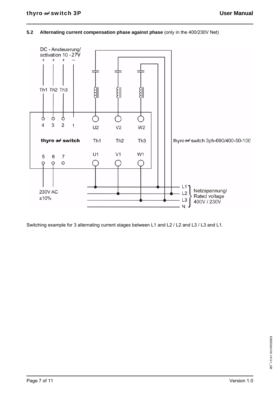### **5.2 Alternating current compensation phase against phase** (only in the 400/230V Net)



Switching example for 3 alternating current stages between L1 and L2 / L2 and L3 / L3 and L1.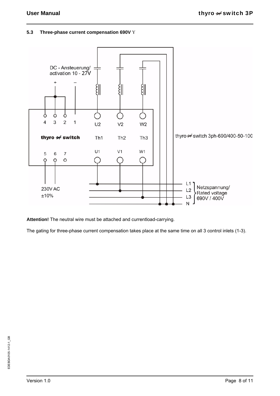### **5.3 Three-phase current compensation 690V**



**Attention!** The neutral wire must be attached and currentload-carrying.

The gating for three-phase current compensation takes place at the same time on all 3 control inlets (1-3).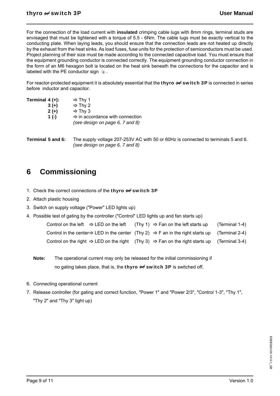For the connection of the load current with **insulated** crimping cable lugs with 8mm rings, terminal studs are envisaged that must be tightened with a torque of 5.5 - 6Nm. The cable lugs must be exactly vertical to the conducting plate. When laying leads, you should ensure that the connection leads are not heated up directly by the exhaust from the heat sinks. As load fuses, fuse units for the protection of semiconductors must be used. Project planning of their size must be made according to the connected capacitive load. You must ensure that the equipment grounding conductor is connected correctly. The equipment grounding conductor connection in the form of an M6 hexagon bolt is located on the heat sink beneath the connections for the capacitor and is labeled with the PE conductor sign  $\oplus$ .

For reactor-protected equipment it is absolutely essential that the **thyro**  $\forall$  **switch 3P** is connected in series before inductor and capacitor.

| Terminal $4 (+)$ : | $ightharpoonup$ Thy 1                                                          |
|--------------------|--------------------------------------------------------------------------------|
| $3 (+)$            | $ightharpoonup$ Thy 2                                                          |
| $2 (+)$            | $ightharpoonup$ Thy 3                                                          |
| 1 $(-)$            | $\Rightarrow$ in accordance with connection<br>(see design on page 6, 7 and 8) |

**Terminal 5 and 6:** The supply voltage 207-253V AC with 50 or 60Hz is connected to terminals 5 and 6. *(see design on page 6, 7 and 8)*

### **6 Commissioning**

- 1. Check the correct connections of the thyro  $\forall$  switch 3P
- 2. Attach plastic housing
- 3. Switch on supply voltage ("Power" LED lights up)
- 4. Possible test of gating by the controller ("Control" LED lights up and fan starts up)

|  | Control on the left $\Rightarrow$ LED on the left (Thy 1) $\Rightarrow$ Fan on the left starts up                      | (Terminal 1-4) |
|--|------------------------------------------------------------------------------------------------------------------------|----------------|
|  | Control in the center $\Rightarrow$ LED in the center (Thy 2) $\Rightarrow$ F an in the right starts up (Terminal 2-4) |                |
|  | Control on the right $\Rightarrow$ LED on the right (Thy 3) $\Rightarrow$ Fan on the right starts up (Terminal 3-4)    |                |

- **Note:** The operational current may only be released for the initial commissioning if no gating takes place, that is, the **thyro**  $\forall$  **switch 3P** is switched off.
- 6. Connecting operational current
- 7. Release controller (for gating and correct function, "Power 1" and "Power 2/3", "Control 1-3", "Thy 1", "Thy 2" and "Thy 3" light up)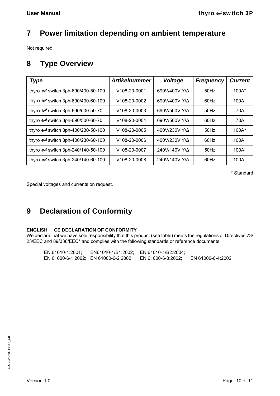## **7 Power limitation depending on ambient temperature**

Not required.

### **8 Type Overview**

| <b>Type</b>                                   | <b>Artikelnummer</b>      | Voltage               | <b>Frequency</b> | <b>Current</b> |
|-----------------------------------------------|---------------------------|-----------------------|------------------|----------------|
| thyro - switch 3ph-690/400-50-100             | V108-20-0001              | 690V/400V Y/ $\Delta$ | $50$ Hz          | $100A*$        |
| thyro <b>+ switch</b> 3ph-690/400-60-100      | V108-20-0002              | 690V/400V Y/A         | 60Hz             | 100A           |
| thyro <b>+ switch 3ph-690/500-50-70</b>       | V <sub>108</sub> -20-0003 | 690V/500V Y/A         | $50$ Hz          | 70A            |
| thyro <b>++</b> switch 3ph-690/500-60-70      | V <sub>108</sub> -20-0004 | 690V/500V Y/A         | 60Hz             | 70A            |
| thyro -> switch 3ph-400/230-50-100            | V <sub>108</sub> -20-0005 | 400V/230V Y/A         | $50$ Hz          | $100A*$        |
| thyro <b>+ switch 3ph-400/230-60-100</b>      | V <sub>108</sub> -20-0006 | 400V/230V Y/ $\Delta$ | 60Hz             | 100A           |
| thyro $\rightarrow$ switch 3ph-240/140-50-100 | V108-20-0007              | 240V/140V Y/ $\Delta$ | $50$ Hz          | 100A           |
| thyro $\rightarrow$ switch 3ph-240/140-60-100 | V <sub>108</sub> -20-0008 | 240V/140V Y/ $\Delta$ | 60Hz             | 100A           |

\* Standard

Special voltages and currents on request.

## **9 Declaration of Conformity**

### **ENGLISH CE DECLARATION OF CONFORMITY**

We declare that we have sole responsibility that this product (see table) meets the regulations of Directives 73/ 23/EEC and 89/336/EEC\* and complies with the following standards or reference documents:

| EN 61010-1:2001; | EN61010-1/B1:2002; EN 61010-1/B2:2004; |                    |                   |
|------------------|----------------------------------------|--------------------|-------------------|
|                  | EN 61000-6-1:2002; EN 61000-6-2:2002;  | EN 61000-6-3:2002; | EN 61000-6-4:2002 |